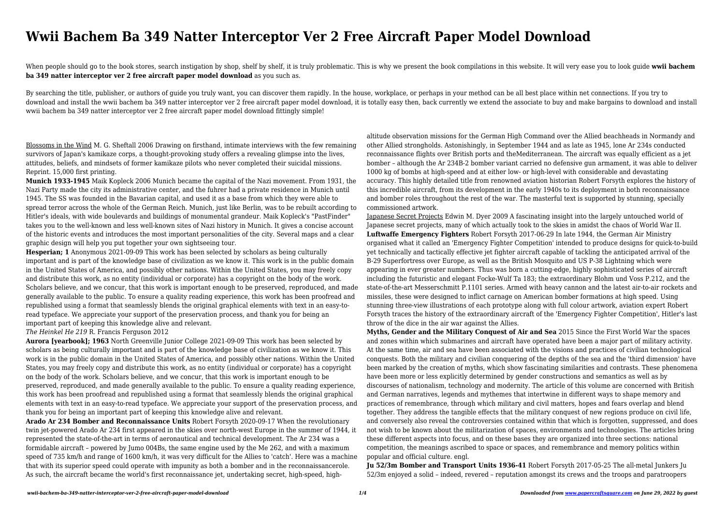## **Wwii Bachem Ba 349 Natter Interceptor Ver 2 Free Aircraft Paper Model Download**

When people should go to the book stores, search instigation by shop, shelf by shelf, it is truly problematic. This is why we present the book compilations in this website. It will very ease you to look quide wwii bachem **ba 349 natter interceptor ver 2 free aircraft paper model download** as you such as.

By searching the title, publisher, or authors of guide you truly want, you can discover them rapidly. In the house, workplace, or perhaps in your method can be all best place within net connections. If you try to download and install the wwii bachem ba 349 natter interceptor ver 2 free aircraft paper model download, it is totally easy then, back currently we extend the associate to buy and make bargains to download and install wwii bachem ba 349 natter interceptor ver 2 free aircraft paper model download fittingly simple!

Blossoms in the Wind M. G. Sheftall 2006 Drawing on firsthand, intimate interviews with the few remaining survivors of Japan's kamikaze corps, a thought-provoking study offers a revealing glimpse into the lives, attitudes, beliefs, and mindsets of former kamikaze pilots who never completed their suicidal missions. Reprint. 15,000 first printing.

**Munich 1933-1945** Maik Kopleck 2006 Munich became the capital of the Nazi movement. From 1931, the Nazi Party made the city its administrative center, and the fuhrer had a private residence in Munich until 1945. The SS was founded in the Bavarian capital, and used it as a base from which they were able to spread terror across the whole of the German Reich. Munich, just like Berlin, was to be rebuilt according to Hitler's ideals, with wide boulevards and buildings of monumental grandeur. Maik Kopleck's "PastFinder" takes you to the well-known and less well-known sites of Nazi history in Munich. It gives a concise account of the historic events and introduces the most important personalities of the city. Several maps and a clear graphic design will help you put together your own sightseeing tour.

**Hesperian; 1** Anonymous 2021-09-09 This work has been selected by scholars as being culturally important and is part of the knowledge base of civilization as we know it. This work is in the public domain in the United States of America, and possibly other nations. Within the United States, you may freely copy and distribute this work, as no entity (individual or corporate) has a copyright on the body of the work. Scholars believe, and we concur, that this work is important enough to be preserved, reproduced, and made generally available to the public. To ensure a quality reading experience, this work has been proofread and republished using a format that seamlessly blends the original graphical elements with text in an easy-toread typeface. We appreciate your support of the preservation process, and thank you for being an important part of keeping this knowledge alive and relevant.

## *The Heinkel He 219* R. Francis Ferguson 2012

**Aurora [yearbook]; 1963** North Greenville Junior College 2021-09-09 This work has been selected by scholars as being culturally important and is part of the knowledge base of civilization as we know it. This work is in the public domain in the United States of America, and possibly other nations. Within the United States, you may freely copy and distribute this work, as no entity (individual or corporate) has a copyright on the body of the work. Scholars believe, and we concur, that this work is important enough to be preserved, reproduced, and made generally available to the public. To ensure a quality reading experience, this work has been proofread and republished using a format that seamlessly blends the original graphical elements with text in an easy-to-read typeface. We appreciate your support of the preservation process, and thank you for being an important part of keeping this knowledge alive and relevant.

**Arado Ar 234 Bomber and Reconnaissance Units** Robert Forsyth 2020-09-17 When the revolutionary twin jet-powered Arado Ar 234 first appeared in the skies over north-west Europe in the summer of 1944, it represented the state-of-the-art in terms of aeronautical and technical development. The Ar 234 was a formidable aircraft – powered by Jumo 004Bs, the same engine used by the Me 262, and with a maximum speed of 735 km/h and range of 1600 km/h, it was very difficult for the Allies to 'catch'. Here was a machine that with its superior speed could operate with impunity as both a bomber and in the reconnaissancerole. As such, the aircraft became the world's first reconnaissance jet, undertaking secret, high-speed, high-

altitude observation missions for the German High Command over the Allied beachheads in Normandy and other Allied strongholds. Astonishingly, in September 1944 and as late as 1945, lone Ar 234s conducted reconnaissance flights over British ports and theMediterranean. The aircraft was equally efficient as a jet bomber – although the Ar 234B-2 bomber variant carried no defensive gun armament, it was able to deliver 1000 kg of bombs at high-speed and at either low- or high-level with considerable and devastating accuracy. This highly detailed title from renowned aviation historian Robert Forsyth explores the history of this incredible aircraft, from its development in the early 1940s to its deployment in both reconnaissance and bomber roles throughout the rest of the war. The masterful text is supported by stunning, specially commissioned artwork.

Japanese Secret Projects Edwin M. Dyer 2009 A fascinating insight into the largely untouched world of Japanese secret projects, many of which actually took to the skies in amidst the chaos of World War II. **Luftwaffe Emergency Fighters** Robert Forsyth 2017-06-29 In late 1944, the German Air Ministry organised what it called an 'Emergency Fighter Competition' intended to produce designs for quick-to-build yet technically and tactically effective jet fighter aircraft capable of tackling the anticipated arrival of the B-29 Superfortress over Europe, as well as the British Mosquito and US P-38 Lightning which were appearing in ever greater numbers. Thus was born a cutting-edge, highly sophisticated series of aircraft including the futuristic and elegant Focke-Wulf Ta 183; the extraordinary Blohm und Voss P.212, and the state-of-the-art Messerschmitt P.1101 series. Armed with heavy cannon and the latest air-to-air rockets and missiles, these were designed to inflict carnage on American bomber formations at high speed. Using stunning three-view illustrations of each prototype along with full colour artwork, aviation expert Robert Forsyth traces the history of the extraordinary aircraft of the 'Emergency Fighter Competition', Hitler's last throw of the dice in the air war against the Allies.

**Myths, Gender and the Military Conquest of Air and Sea** 2015 Since the First World War the spaces and zones within which submarines and aircraft have operated have been a major part of military activity. At the same time, air and sea have been associated with the visions and practices of civilian technological conquests. Both the military and civilian conquering of the depths of the sea and the 'third dimension' have been marked by the creation of myths, which show fascinating similarities and contrasts. These phenomena have been more or less explicitly determined by gender constructions and semantics as well as by discourses of nationalism, technology and modernity. The article of this volume are concerned with British and German narratives, legends and mythemes that intertwine in different ways to shape memory and practices of remembrance, through which military and civil matters, hopes and fears overlap and blend together. They address the tangible effects that the military conquest of new regions produce on civil life, and conversely also reveal the controversies contained within that which is forgotten, suppressed, and does not wish to be known about the militarization of spaces, environments and technologies. The articles bring these different aspects into focus, and on these bases they are organized into three sections: national competition, the meanings ascribed to space or spaces, and remembrance and memory politics within popular and official culture. engl.

**Ju 52/3m Bomber and Transport Units 1936-41** Robert Forsyth 2017-05-25 The all-metal Junkers Ju 52/3m enjoyed a solid – indeed, revered – reputation amongst its crews and the troops and paratroopers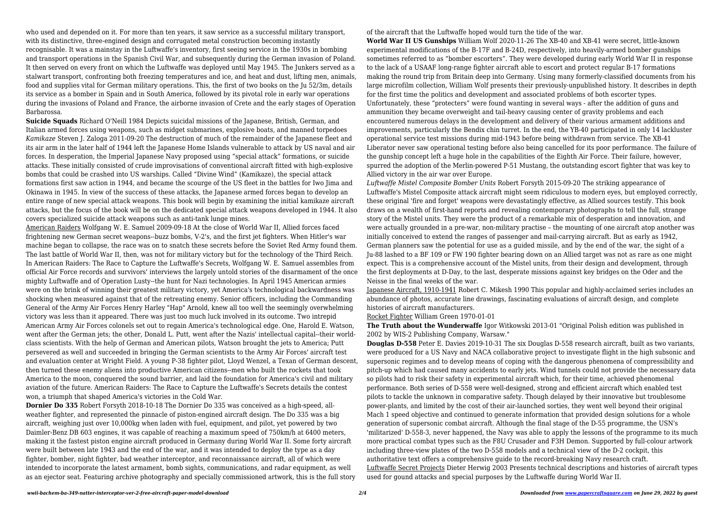who used and depended on it. For more than ten years, it saw service as a successful military transport, with its distinctive, three-engined design and corrugated metal construction becoming instantly recognisable. It was a mainstay in the Luftwaffe's inventory, first seeing service in the 1930s in bombing and transport operations in the Spanish Civil War, and subsequently during the German invasion of Poland. It then served on every front on which the Luftwaffe was deployed until May 1945. The Junkers served as a stalwart transport, confronting both freezing temperatures and ice, and heat and dust, lifting men, animals, food and supplies vital for German military operations. This, the first of two books on the Ju 52/3m, details its service as a bomber in Spain and in South America, followed by its pivotal role in early war operations during the invasions of Poland and France, the airborne invasion of Crete and the early stages of Operation Barbarossa.

**Suicide Squads** Richard O'Neill 1984 Depicts suicidal missions of the Japanese, British, German, and Italian armed forces using weapons, such as midget submarines, explosive boats, and manned torpedoes *Kamikaze* Steven J. Zaloga 2011-09-20 The destruction of much of the remainder of the Japanese fleet and its air arm in the later half of 1944 left the Japanese Home Islands vulnerable to attack by US naval and air forces. In desperation, the Imperial Japanese Navy proposed using "special attack" formations, or suicide attacks. These initially consisted of crude improvisations of conventional aircraft fitted with high-explosive bombs that could be crashed into US warships. Called "Divine Wind" (Kamikaze), the special attack formations first saw action in 1944, and became the scourge of the US fleet in the battles for Iwo Jima and Okinawa in 1945. In view of the success of these attacks, the Japanese armed forces began to develop an entire range of new special attack weapons. This book will begin by examining the initial kamikaze aircraft attacks, but the focus of the book will be on the dedicated special attack weapons developed in 1944. It also covers specialized suicide attack weapons such as anti-tank lunge mines.

American Raiders Wolfgang W. E. Samuel 2009-09-18 At the close of World War II, Allied forces faced frightening new German secret weapons--buzz bombs, V-2's, and the first jet fighters. When Hitler's war machine began to collapse, the race was on to snatch these secrets before the Soviet Red Army found them. The last battle of World War II, then, was not for military victory but for the technology of the Third Reich. In American Raiders: The Race to Capture the Luftwaffe's Secrets, Wolfgang W. E. Samuel assembles from official Air Force records and survivors' interviews the largely untold stories of the disarmament of the once mighty Luftwaffe and of Operation Lusty--the hunt for Nazi technologies. In April 1945 American armies were on the brink of winning their greatest military victory, yet America's technological backwardness was shocking when measured against that of the retreating enemy. Senior officers, including the Commanding General of the Army Air Forces Henry Harley "Hap" Arnold, knew all too well the seemingly overwhelming victory was less than it appeared. There was just too much luck involved in its outcome. Two intrepid American Army Air Forces colonels set out to regain America's technological edge. One, Harold E. Watson, went after the German jets; the other, Donald L. Putt, went after the Nazis' intellectual capital--their worldclass scientists. With the help of German and American pilots, Watson brought the jets to America; Putt persevered as well and succeeded in bringing the German scientists to the Army Air Forces' aircraft test and evaluation center at Wright Field. A young P-38 fighter pilot, Lloyd Wenzel, a Texan of German descent, then turned these enemy aliens into productive American citizens--men who built the rockets that took America to the moon, conquered the sound barrier, and laid the foundation for America's civil and military aviation of the future. American Raiders: The Race to Capture the Luftwaffe's Secrets details the contest won, a triumph that shaped America's victories in the Cold War.

**Dornier Do 335** Robert Forsyth 2018-10-18 The Dornier Do 335 was conceived as a high-speed, allweather fighter, and represented the pinnacle of piston-engined aircraft design. The Do 335 was a big aircraft, weighing just over 10,000kg when laden with fuel, equipment, and pilot, yet powered by two Daimler-Benz DB 603 engines, it was capable of reaching a maximum speed of 750km/h at 6400 meters, making it the fastest piston engine aircraft produced in Germany during World War II. Some forty aircraft were built between late 1943 and the end of the war, and it was intended to deploy the type as a day fighter, bomber, night fighter, bad weather interceptor, and reconnaissance aircraft, all of which were intended to incorporate the latest armament, bomb sights, communications, and radar equipment, as well as an ejector seat. Featuring archive photography and specially commissioned artwork, this is the full story of the aircraft that the Luftwaffe hoped would turn the tide of the war. **World War II US Gunships** William Wolf 2020-11-26 The XB-40 and XB-41 were secret, little-known experimental modifications of the B-17F and B-24D, respectively, into heavily-armed bomber gunships sometimes referred to as "bomber escorters". They were developed during early World War II in response to the lack of a USAAF long-range fighter aircraft able to escort and protect regular B-17 formations making the round trip from Britain deep into Germany. Using many formerly-classified documents from his large microfilm collection, William Wolf presents their previously-unpublished history. It describes in depth for the first time the politics and development and associated problems of both escorter types. Unfortunately, these "protecters" were found wanting in several ways - after the addition of guns and ammunition they became overweight and tail-heavy causing center of gravity problems and each encountered numerous delays in the development and delivery of their various armament additions and improvements, particularly the Bendix chin turret. In the end, the YB-40 participated in only 14 lackluster operational service test missions during mid-1943 before being withdrawn from service. The XB-41 Liberator never saw operational testing before also being cancelled for its poor performance. The failure of the gunship concept left a huge hole in the capabilities of the Eighth Air Force. Their failure, however, spurred the adoption of the Merlin-powered P-51 Mustang, the outstanding escort fighter that was key to Allied victory in the air war over Europe.

*Luftwaffe Mistel Composite Bomber Units* Robert Forsyth 2015-09-20 The striking appearance of Luftwaffe's Mistel Composite attack aircraft might seem ridiculous to modern eyes, but employed correctly, these original 'fire and forget' weapons were devastatingly effective, as Allied sources testify. This book draws on a wealth of first-hand reports and revealing contemporary photographs to tell the full, strange story of the Mistel units. They were the product of a remarkable mix of desperation and innovation, and were actually grounded in a pre-war, non-military practise – the mounting of one aircraft atop another was initially conceived to extend the ranges of passenger and mail-carrying aircraft. But as early as 1942, German planners saw the potential for use as a guided missile, and by the end of the war, the sight of a Ju-88 lashed to a BF 109 or FW 190 fighter bearing down on an Allied target was not as rare as one might expect. This is a comprehensive account of the Mistel units, from their design and development, through the first deployments at D-Day, to the last, desperate missions against key bridges on the Oder and the Neisse in the final weeks of the war.

Japanese Aircraft, 1910-1941 Robert C. Mikesh 1990 This popular and highly-acclaimed series includes an abundance of photos, accurate line drawings, fascinating evaluations of aircraft design, and complete histories of aircraft manufacturers.

Rocket Fighter William Green 1970-01-01

**The Truth about the Wunderwaffe** Igor Witkowski 2013-01 "Original Polish edition was published in 2002 by WIS-2 Publishing Company, Warsaw."

**Douglas D-558** Peter E. Davies 2019-10-31 The six Douglas D-558 research aircraft, built as two variants, were produced for a US Navy and NACA collaborative project to investigate flight in the high subsonic and supersonic regimes and to develop means of coping with the dangerous phenomena of compressibility and pitch-up which had caused many accidents to early jets. Wind tunnels could not provide the necessary data so pilots had to risk their safety in experimental aircraft which, for their time, achieved phenomenal performance. Both series of D-558 were well-designed, strong and efficient aircraft which enabled test pilots to tackle the unknown in comparative safety. Though delayed by their innovative but troublesome power-plants, and limited by the cost of their air-launched sorties, they went well beyond their original Mach 1 speed objective and continued to generate information that provided design solutions for a whole generation of supersonic combat aircraft. Although the final stage of the D-55 programme, the USN's 'militarized' D-558-3, never happened, the Navy was able to apply the lessons of the programme to its much more practical combat types such as the F8U Crusader and F3H Demon. Supported by full-colour artwork including three-view plates of the two D-558 models and a technical view of the D-2 cockpit, this authoritative text offers a comprehensive guide to the record-breaking Navy research craft. Luftwaffe Secret Projects Dieter Herwig 2003 Presents technical descriptions and histories of aircraft types used for gound attacks and special purposes by the Luftwaffe during World War II.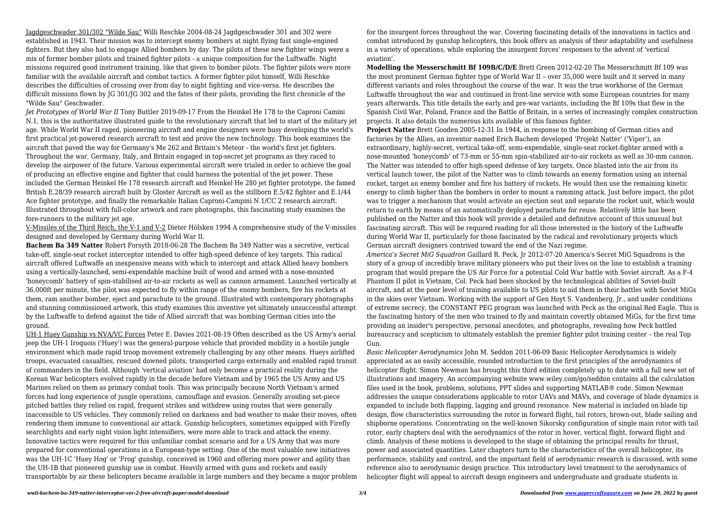Jagdgeschwader 301/302 "Wilde Sau" Willi Reschke 2004-08-24 Jagdgeschwader 301 and 302 were established in 1943. Their mission was to intercept enemy bombers at night flying fast single-engined fighters. But they also had to engage Allied bombers by day. The pilots of these new fighter wings were a mix of former bomber pilots and trained fighter pilots - a unique composition for the Luftwaffe. Night missions required good instrument training, like that given to bomber pilots. The fighter pilots were more familiar with the available aircraft and combat tactics. A former fighter pilot himself, Willi Reschke describes the difficulties of crossing over from day to night fighting and vice-versa. He describes the difficult missions flown by JG 301/JG 302 and the fates of their pilots, providing the first chronicle of the "Wilde Sau" Geschwader.

*Jet Prototypes of World War II* Tony Buttler 2019-09-17 From the Heinkel He 178 to the Caproni Camini N.1, this is the authoritative illustrated guide to the revolutionary aircraft that led to start of the military jet age. While World War II raged, pioneering aircraft and engine designers were busy developing the world's first practical jet-powered research aircraft to test and prove the new technology. This book examines the aircraft that paved the way for Germany's Me 262 and Britain's Meteor - the world's first jet fighters. Throughout the war, Germany, Italy, and Britain engaged in top-secret jet programs as they raced to develop the airpower of the future. Various experimental aircraft were trialed in order to achieve the goal of producing an effective engine and fighter that could harness the potential of the jet power. These included the German Heinkel He 178 research aircraft and Heinkel He 280 jet fighter prototype, the famed British E.28/39 research aircraft built by Gloster Aircraft as well as the stillborn E.5/42 fighter and E.1/44 Ace fighter prototype, and finally the remarkable Italian Caproni-Campini N.1/CC 2 research aircraft. Illustrated throughout with full-color artwork and rare photographs, this fascinating study examines the fore-runners to the military jet age.

V-Missiles of the Third Reich, the V-1 and V-2 Dieter Hölsken 1994 A comprehensive study of the V-missiles designed and developed by Germany during World War II.

**Bachem Ba 349 Natter** Robert Forsyth 2018-06-28 The Bachem Ba 349 Natter was a secretive, vertical take-off, single-seat rocket interceptor intended to offer high-speed defence of key targets. This radical aircraft offered Luftwaffe an inexpensive means with which to intercept and attack Allied heavy bombers using a vertically-launched, semi-expendable machine built of wood and armed with a nose-mounted 'honeycomb' battery of spin-stabilised air-to-air rockets as well as cannon armament. Launched vertically at 36,000ft per minute, the pilot was expected to fly within range of the enemy bombers, fire his rockets at them, ram another bomber, eject and parachute to the ground. Illustrated with contemporary photographs and stunning commissioned artwork, this study examines this inventive yet ultimately unsuccessful attempt by the Luftwaffe to defend against the tide of Allied aircraft that was bombing German cities into the ground.

UH-1 Huey Gunship vs NVA/VC Forces Peter E. Davies 2021-08-19 Often described as the US Army's aerial jeep the UH-1 Iroquois ('Huey') was the general-purpose vehicle that provided mobility in a hostile jungle environment which made rapid troop movement extremely challenging by any other means. Hueys airlifted troops, evacuated casualties, rescued downed pilots, transported cargo externally and enabled rapid transit of commanders in the field. Although 'vertical aviation' had only become a practical reality during the Korean War helicopters evolved rapidly in the decade before Vietnam and by 1965 the US Army and US Marines relied on them as primary combat tools. This was principally because North Vietnam's armed forces had long experience of jungle operations, camouflage and evasion. Generally avoiding set-piece pitched battles they relied on rapid, frequent strikes and withdrew using routes that were generally inaccessible to US vehicles. They commonly relied on darkness and bad weather to make their moves, often rendering them immune to conventional air attack. Gunship helicopters, sometimes equipped with Firefly searchlights and early night vision light intensifiers, were more able to track and attack the enemy. Innovative tactics were required for this unfamiliar combat scenario and for a US Army that was more prepared for conventional operations in a European-type setting. One of the most valuable new initiatives was the UH-1C 'Huey Hog' or 'Frog' gunship, conceived in 1960 and offering more power and agility than the UH-1B that pioneered gunship use in combat. Heavily armed with guns and rockets and easily transportable by air these helicopters became available in large numbers and they became a major problem

for the insurgent forces throughout the war. Covering fascinating details of the innovations in tactics and combat introduced by gunship helicopters, this book offers an analysis of their adaptability and usefulness in a variety of operations, while exploring the insurgent forces' responses to the advent of 'vertical aviation'.

**Modelling the Messerschmitt Bf 109B/C/D/E** Brett Green 2012-02-20 The Messerschmitt Bf 109 was the most prominent German fighter type of World War II – over 35,000 were built and it served in many different variants and roles throughout the course of the war. It was the true workhorse of the German Luftwaffe throughout the war and continued in front-line service with some European countries for many years afterwards. This title details the early and pre-war variants, including the Bf 109s that flew in the Spanish Civil War, Poland, France and the Battle of Britain, in a series of increasingly complex construction projects. It also details the numerous kits available of this famous fighter. **Project Natter** Brett Gooden 2005-12-31 In 1944, in response to the bombing of German cities and factories by the Allies, an inventor named Erich Bachem developed 'Projekt Natter' ('Viper'), an extraordinary, highly-secret, vertical take-off, semi-expendable, single-seat rocket-fighter armed with a nose-mounted 'honeycomb' of 73-mm or 55-mm spin-stabilized air-to-air rockets as well as 30-mm cannon. The Natter was intended to offer high-speed defense of key targets. Once blasted into the air from its vertical launch tower, the pilot of the Natter was to climb towards an enemy formation using an internal rocket, target an enemy bomber and fire his battery of rockets. He would then use the remaining kinetic energy to climb higher than the bombers in order to mount a ramming attack. Just before impact, the pilot was to trigger a mechanism that would activate an ejection seat and separate the rocket unit, which would return to earth by means of an automatically deployed parachute for reuse. Relatively little has been published on the Natter and this book will provide a detailed and definitive account of this unusual but fascinating aircraft. This will be required reading for all those interested in the history of the Luftwaffe during World War II, particularly for those fascinated by the radical and revolutionary projects which German aircraft designers contrived toward the end of the Nazi regime. *America's Secret MiG Squadron* Gaillard R. Peck, Jr 2012-07-20 America's Secret MiG Squadrons is the story of a group of incredibly brave military pioneers who put their lives on the line to establish a training program that would prepare the US Air Force for a potential Cold War battle with Soviet aircraft. As a F-4 Phantom II pilot in Vietnam, Col. Peck had been shocked by the technological abilities of Soviet-built aircraft, and at the poor level of training available to US pilots to aid them in their battles with Soviet MiGs in the skies over Vietnam. Working with the support of Gen Hoyt S. Vandenberg, Jr., and under conditions of extreme secrecy, the CONSTANT PEG program was launched with Peck as the original Red Eagle. This is the fascinating history of the men who trained to fly and maintain covertly obtained MiGs, for the first time providing an insider's perspective, personal anecdotes, and photographs, revealing how Peck battled bureaucracy and scepticism to ultimately establish the premier fighter pilot training center – the real Top Gun.

*Basic Helicopter Aerodynamics* John M. Seddon 2011-06-09 Basic Helicopter Aerodynamics is widely appreciated as an easily accessible, rounded introduction to the first principles of the aerodynamics of helicopter flight. Simon Newman has brought this third edition completely up to date with a full new set of illustrations and imagery. An accompanying website www.wiley.com/go/seddon contains all the calculation files used in the book, problems, solutions, PPT slides and supporting MATLAB® code. Simon Newman addresses the unique considerations applicable to rotor UAVs and MAVs, and coverage of blade dynamics is expanded to include both flapping, lagging and ground resonance. New material is included on blade tip design, flow characteristics surrounding the rotor in forward flight, tail rotors, brown-out, blade sailing and shipborne operations. Concentrating on the well-known Sikorsky configuration of single main rotor with tail rotor, early chapters deal with the aerodynamics of the rotor in hover, vertical flight, forward flight and climb. Analysis of these motions is developed to the stage of obtaining the principal results for thrust, power and associated quantities. Later chapters turn to the characteristics of the overall helicopter, its performance, stability and control, and the important field of aerodynamic research is discussed, with some reference also to aerodynamic design practice. This introductory level treatment to the aerodynamics of helicopter flight will appeal to aircraft design engineers and undergraduate and graduate students in